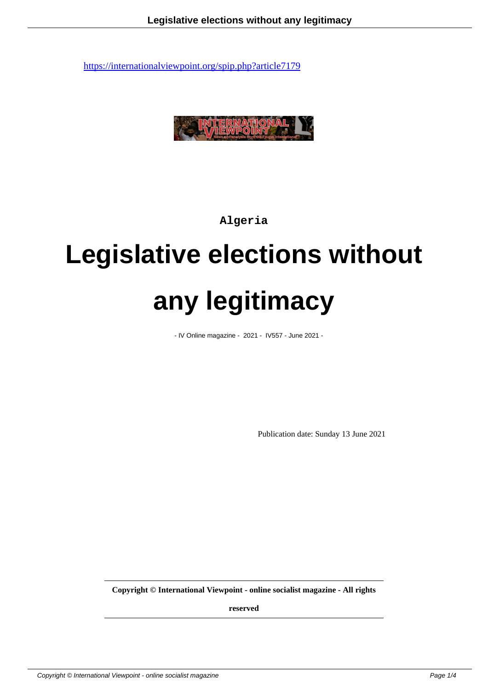

**Algeria**

# **Legislative elections without any legitimacy**

- IV Online magazine - 2021 - IV557 - June 2021 -

Publication date: Sunday 13 June 2021

**Copyright © International Viewpoint - online socialist magazine - All rights**

**reserved**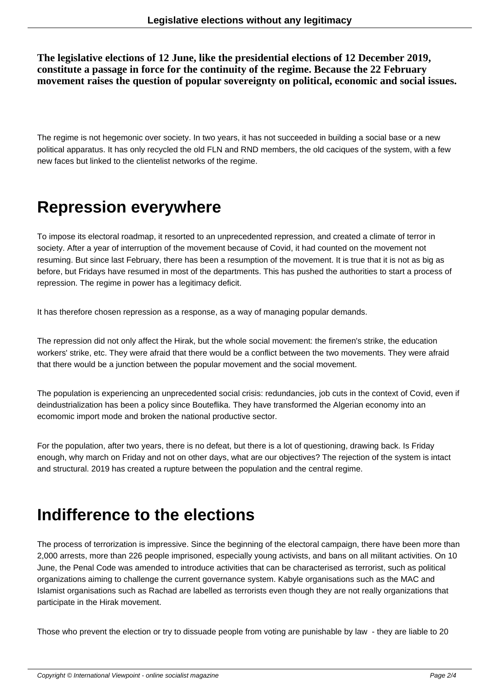**The legislative elections of 12 June, like the presidential elections of 12 December 2019, constitute a passage in force for the continuity of the regime. Because the 22 February movement raises the question of popular sovereignty on political, economic and social issues.**

The regime is not hegemonic over society. In two years, it has not succeeded in building a social base or a new political apparatus. It has only recycled the old FLN and RND members, the old caciques of the system, with a few new faces but linked to the clientelist networks of the regime.

#### **Repression everywhere**

To impose its electoral roadmap, it resorted to an unprecedented repression, and created a climate of terror in society. After a year of interruption of the movement because of Covid, it had counted on the movement not resuming. But since last February, there has been a resumption of the movement. It is true that it is not as big as before, but Fridays have resumed in most of the departments. This has pushed the authorities to start a process of repression. The regime in power has a legitimacy deficit.

It has therefore chosen repression as a response, as a way of managing popular demands.

The repression did not only affect the Hirak, but the whole social movement: the firemen's strike, the education workers' strike, etc. They were afraid that there would be a conflict between the two movements. They were afraid that there would be a junction between the popular movement and the social movement.

The population is experiencing an unprecedented social crisis: redundancies, job cuts in the context of Covid, even if deindustrialization has been a policy since Bouteflika. They have transformed the Algerian economy into an ecomomic import mode and broken the national productive sector.

For the population, after two years, there is no defeat, but there is a lot of questioning, drawing back. Is Friday enough, why march on Friday and not on other days, what are our objectives? The rejection of the system is intact and structural. 2019 has created a rupture between the population and the central regime.

#### **Indifference to the elections**

The process of terrorization is impressive. Since the beginning of the electoral campaign, there have been more than 2,000 arrests, more than 226 people imprisoned, especially young activists, and bans on all militant activities. On 10 June, the Penal Code was amended to introduce activities that can be characterised as terrorist, such as political organizations aiming to challenge the current governance system. Kabyle organisations such as the MAC and Islamist organisations such as Rachad are labelled as terrorists even though they are not really organizations that participate in the Hirak movement.

Those who prevent the election or try to dissuade people from voting are punishable by law - they are liable to 20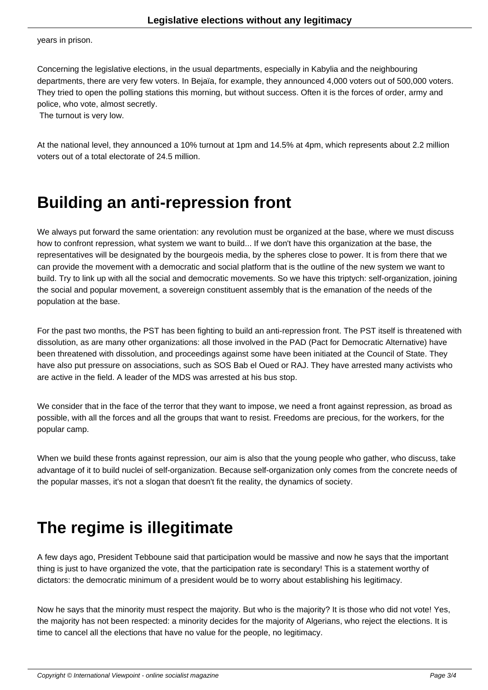years in prison.

Concerning the legislative elections, in the usual departments, especially in Kabylia and the neighbouring departments, there are very few voters. In Bejaïa, for example, they announced 4,000 voters out of 500,000 voters. They tried to open the polling stations this morning, but without success. Often it is the forces of order, army and police, who vote, almost secretly.

The turnout is very low.

At the national level, they announced a 10% turnout at 1pm and 14.5% at 4pm, which represents about 2.2 million voters out of a total electorate of 24.5 million.

### **Building an anti-repression front**

We always put forward the same orientation: any revolution must be organized at the base, where we must discuss how to confront repression, what system we want to build... If we don't have this organization at the base, the representatives will be designated by the bourgeois media, by the spheres close to power. It is from there that we can provide the movement with a democratic and social platform that is the outline of the new system we want to build. Try to link up with all the social and democratic movements. So we have this triptych: self-organization, joining the social and popular movement, a sovereign constituent assembly that is the emanation of the needs of the population at the base.

For the past two months, the PST has been fighting to build an anti-repression front. The PST itself is threatened with dissolution, as are many other organizations: all those involved in the PAD (Pact for Democratic Alternative) have been threatened with dissolution, and proceedings against some have been initiated at the Council of State. They have also put pressure on associations, such as SOS Bab el Oued or RAJ. They have arrested many activists who are active in the field. A leader of the MDS was arrested at his bus stop.

We consider that in the face of the terror that they want to impose, we need a front against repression, as broad as possible, with all the forces and all the groups that want to resist. Freedoms are precious, for the workers, for the popular camp.

When we build these fronts against repression, our aim is also that the young people who gather, who discuss, take advantage of it to build nuclei of self-organization. Because self-organization only comes from the concrete needs of the popular masses, it's not a slogan that doesn't fit the reality, the dynamics of society.

## **The regime is illegitimate**

A few days ago, President Tebboune said that participation would be massive and now he says that the important thing is just to have organized the vote, that the participation rate is secondary! This is a statement worthy of dictators: the democratic minimum of a president would be to worry about establishing his legitimacy.

Now he says that the minority must respect the majority. But who is the majority? It is those who did not vote! Yes, the majority has not been respected: a minority decides for the majority of Algerians, who reject the elections. It is time to cancel all the elections that have no value for the people, no legitimacy.